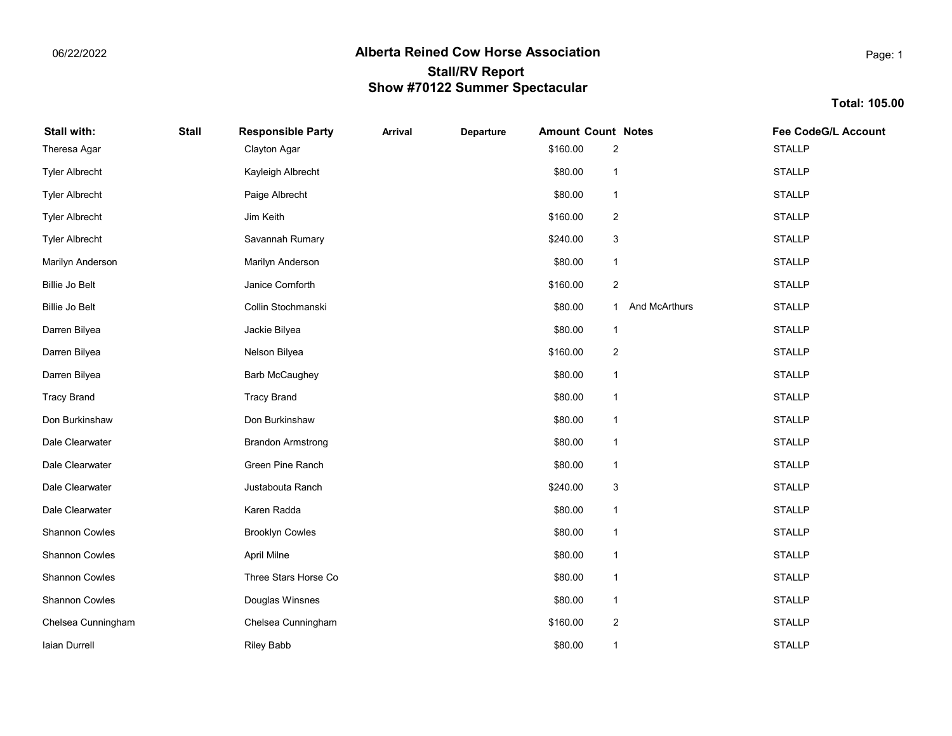Total: 105.00

# Stall with: Stall Responsible Party Arrival Departure Amount Count Notes Fee CodeG/L Account and theresa Agar **1988** STALLP Clayton Agar 2014 12:30 STALLP Clayton Agar 2014 2022 2023 2024 2024 2022 2023 2024 Free Albrecht Example of the State of the State of the State of the State of the State of the State of the State of the State of the State of the State of the State of the State of the State of the State of the State of th the State of the State of the State of the State of the State of the State of the State of the State of the State of the State of the State of the State of the State of the State of the State of the State of the State of t Tyler Albrecht \$160.00 STALLP Jim Keith 2 Fyler Albrecht **1988 CEAN CHU State Community** Savannah Rumary **3** STALLP STALLP STALLP STALLP STALLP Marilyn Anderson **1988** Marilyn Anderson **1988** Marilyn Anderson 1988 Marilyn Anderson 1988 Marilyn Britannic Marilyn Anderson 1988 Marilyn Anderson 1988 Marilyn Anderson 1988 Marilyn Anderson 1988 Marilyn Anderson 1988 Ma Billie Jo Belt **160.00 STALLP STALLP In the United States** of the STALLP STALLP STALLP STALLP STALLP Billie Jo Belt **1. Stochmanski** 1 And McArthurs 1 And McArthurs 1 And McArthurs 1 And McArthurs 1 And McArthurs 1 And McArthurs 1 And McArthurs 1 And McArthurs 1 And McArthurs 1 And McArthurs 1 And McArthurs 1 And McArthur era and the University of the University of the University of the University of the State State State State State State State State State State State State State State State State State State State State State State State era biliyea biliyea a a shekara a shekara 1999 da a 160.00 STALLP ne a shekara 2 STALLP ne a shekara 2 STALLP Darren Bilyea \$80.00 STALLP Barb McCaughey 1 of the tracy Brand Tracy Brand Tracy Brand States (1998) (States (1998) (STALLP Tracy Brand States (1998) (STALLP Tracy Brand States (1998) (STALLP Tracy Brand States (1999) (STALLP Tracy Brand States (1999) (STALLP Tracy on Burkinshaw **1988 Constructs Constructs Constructs** Constructs Construction Constructs Constructs Constructs Constructs Constructs Constructs Constructs Constructs Constructs Constructs Constructs Constructs Constructs C Dale Clearwater **1.1 Clearwater 1.2 STALLP** Brandon Armstrong 1.880.00 STALLP Brandon Armstrong 1.880.00 STALLP orde Clearwater The Communication of the Clearwater State of Green Pine Ranch 1 State 1 State 1 State 1 State 1 State 1 State 1 State 1 State 1 State 1 State 1 State 1 State 1 State 1 State 1 State 1 State 1 State 1 State Dale Clearwater \$240.00 STALLP Justabouta Ranch 3 and Clearwater **1988 and State Clearwater** 1988 Martin Clearwater 1988 Martin Clearwater 1988 Martin Clearwater 1 Shannon Cowles **STALLP** Brooklyn Cowles **1996** Shannon Cowles 1 STALLP Shannon Cowles \$80.00 STALLP April Milne 1 Shannon Cowles **State Community Three Stars Horse Co** 1 STALLP Three Stars Horse Co 1 STALLP Three Stars Horse Co Shannon Cowles **Shannon Cowles Access 2003** Douglas Winsnes **1** Shannon Cowles 1 STALLP **STALLP** 380.00 STALLP Chelsea Cunningham **1992 Chelsea Cunningham** Chelsea Cunningham **3160.00** STALLP Chelsea Cunningham **2** Iaian Durrell \$80.00 STALLP Riley Babb 1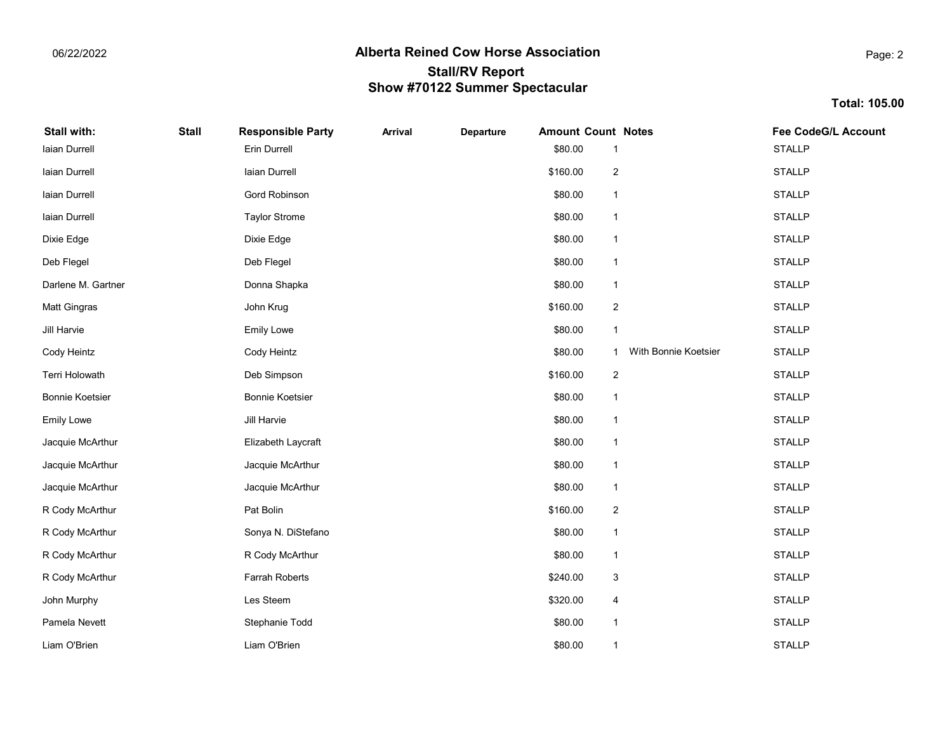Total: 105.00

| Stall with:            | <b>Stall</b> | <b>Responsible Party</b> | <b>Arrival</b> | <b>Departure</b> | <b>Amount Count Notes</b> |                           |                      | <b>Fee CodeG/L Account</b> |
|------------------------|--------------|--------------------------|----------------|------------------|---------------------------|---------------------------|----------------------|----------------------------|
| Iaian Durrell          |              | Erin Durrell             |                |                  | \$80.00                   |                           |                      | <b>STALLP</b>              |
| laian Durrell          |              | Iaian Durrell            |                |                  | \$160.00                  | $\sqrt{2}$                |                      | <b>STALLP</b>              |
| Iaian Durrell          |              | Gord Robinson            |                |                  | \$80.00                   | $\mathbf 1$               |                      | <b>STALLP</b>              |
| laian Durrell          |              | <b>Taylor Strome</b>     |                |                  | \$80.00                   | $\mathbf{1}$              |                      | <b>STALLP</b>              |
| Dixie Edge             |              | Dixie Edge               |                |                  | \$80.00                   | $\mathbf{1}$              |                      | <b>STALLP</b>              |
| Deb Flegel             |              | Deb Flegel               |                |                  | \$80.00                   | $\mathbf{1}$              |                      | <b>STALLP</b>              |
| Darlene M. Gartner     |              | Donna Shapka             |                |                  | \$80.00                   | $\mathbf{1}$              |                      | <b>STALLP</b>              |
| Matt Gingras           |              | John Krug                |                |                  | \$160.00                  | $\sqrt{2}$                |                      | <b>STALLP</b>              |
| Jill Harvie            |              | Emily Lowe               |                |                  | \$80.00                   | $\mathbf{1}$              |                      | <b>STALLP</b>              |
| Cody Heintz            |              | Cody Heintz              |                |                  | \$80.00                   | 1                         | With Bonnie Koetsier | <b>STALLP</b>              |
| Terri Holowath         |              | Deb Simpson              |                |                  | \$160.00                  | $\sqrt{2}$                |                      | <b>STALLP</b>              |
| <b>Bonnie Koetsier</b> |              | <b>Bonnie Koetsier</b>   |                |                  | \$80.00                   | $\mathbf{1}$              |                      | <b>STALLP</b>              |
| <b>Emily Lowe</b>      |              | Jill Harvie              |                |                  | \$80.00                   | $\mathbf{1}$              |                      | <b>STALLP</b>              |
| Jacquie McArthur       |              | Elizabeth Laycraft       |                |                  | \$80.00                   | $\mathbf{1}$              |                      | <b>STALLP</b>              |
| Jacquie McArthur       |              | Jacquie McArthur         |                |                  | \$80.00                   | $\mathbf{1}$              |                      | <b>STALLP</b>              |
| Jacquie McArthur       |              | Jacquie McArthur         |                |                  | \$80.00                   | 1                         |                      | <b>STALLP</b>              |
| R Cody McArthur        |              | Pat Bolin                |                |                  | \$160.00                  | $\sqrt{2}$                |                      | <b>STALLP</b>              |
| R Cody McArthur        |              | Sonya N. DiStefano       |                |                  | \$80.00                   | $\mathbf{1}$              |                      | <b>STALLP</b>              |
| R Cody McArthur        |              | R Cody McArthur          |                |                  | \$80.00                   | $\overline{\mathbf{1}}$   |                      | <b>STALLP</b>              |
| R Cody McArthur        |              | Farrah Roberts           |                |                  | \$240.00                  | $\ensuremath{\mathsf{3}}$ |                      | <b>STALLP</b>              |
| John Murphy            |              | Les Steem                |                |                  | \$320.00                  | 4                         |                      | <b>STALLP</b>              |
| Pamela Nevett          |              | Stephanie Todd           |                |                  | \$80.00                   | $\mathbf{1}$              |                      | <b>STALLP</b>              |
| Liam O'Brien           |              | Liam O'Brien             |                |                  | \$80.00                   | 1                         |                      | <b>STALLP</b>              |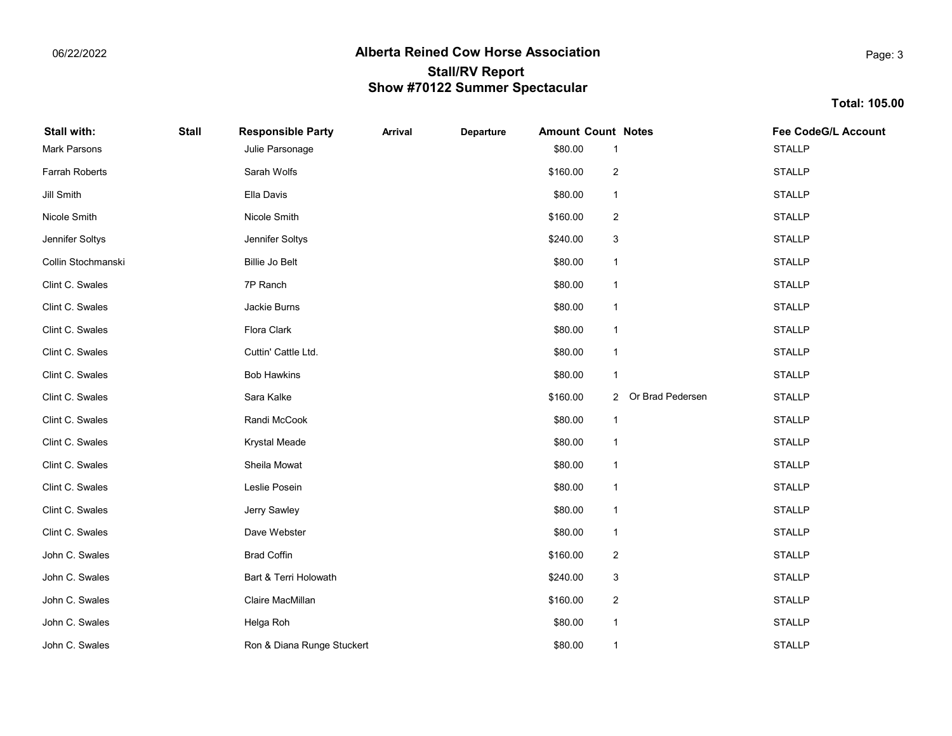Total: 105.00

# Stall with: Stall Responsible Party Arrival Departure Amount Count Notes Fee CodeG/L Account Mark Parsons **1988 Contract Contract Contract Contract Contract Contract Contract Contract Contract Contract Contract Contract Contract Contract Contract Contract Contract Contract Contract Contract Contract Contract Contr** Farrah Roberts **1988** Carah Wolfs **1988 Carah State Caracter 1988** STALLP **STALLP** STALLP Jill Smith \$80.00 STALLP Ella Davis 1 Nicole Smith \$160.00 STALLP Nicole Smith 2 ennifer Soltys **STALLP** School States of the Soltys and States and States and States 3 and States 3 and States 3 and States 3 and States 3 and States 3 and States 3 and States 3 and States 3 and States 3 and States 3 and S Collin Stochmanski **STALLP** Billie Jo Belt 1999 Billie Jo Belt 1999 Billie Jo Belt 1999 Billie Jo Belt 1999 Billie Jo Belt 1999 Billie Jo Belt 1999 Billie Jo Belt 1999 Billie Jo Belt 1999 Billie Jo Belt 1999 Billie Jo Belt of the C. Swales The Clint C. Swales The State of the State of The Terminal Clint C. Swales The State of State of the State of the State of the State of the State of the State of the State of the State of the State of the clint C. Swales **State Clint C. Swales** STALLP Jackie Burns 1999 STALLP Jackie Burns 1999 STALLP 1999 STALLP 1999 STALLP 1999 STALLP clint C. Swales **1.1. Internal Clark** 580.00 Clint C. Swales 557ALLP Clint C. Swales **1.1. Contract Cuttin' Cattle Ltd.** Cuttin' Cattle Ltd. 1.1. State 1.1. State 1.1. State 1.1. State 1.1. State 1.1. State 1.1. State 1.1. State 1.1. State 1.1. State 1.1. State 1.1. State 1.1. State 1.1. St Clint C. Swales \$80.00 STALLP Bob Hawkins 1 Clint C. Swales **1988 Clint C. Swales** 3160.00 STALLP STALLP STALLP STALLP STALLP STALLP STALLP clint C. Swales **1.1. In the Cook** Clint C. Swales **1.1. In the STALLP** STALLP Randi McCook 1.1 And 1.1 STALLP Clint C. Swales \$80.00 STALLP Krystal Meade 1 الله المسابق المسابق المسابق المسابق المسابق المسابق المسابق المسابق المسابق المسابق المسابق المسابق المسابق ال<br>المسابق المسابق المسابق المسابق المسابق المسابق المسابق المسابق المسابق المسابق المسابق المسابق المسابق المسا Clint C. Swales \$80.00 STALLP Leslie Posein 1 Clint C. Swales \$80.00 STALLP Jerry Sawley 1 Clint C. Swales \$80.00 STALLP Dave Webster 1 John C. Swales \$160.00 STALLP Brad Coffin 2 John C. Swales \$240.00 STALLP Bart & Terri Holowath 3 Uphin C. Swales **1988 Claire MacMillan** Claire MacMillan 2 State 6 and 2 State 6 and 2 State 6 State 6 and 2 State 7 and 2 State 7 and 2 State 7 and 2 State 7 and 2 State 7 and 2 State 7 and 2 State 7 and 2 State 7 and 2 S ohn C. Swales **1988 Community Community Community Community Community Community Community Community Community Community Community Community Community Community Community Community Community Community Community Community Co** John C. Swales **1. State Stuckert Stuckert Community** Stuckert Stuckert Stuckert Stuckert State Stuckert State Stuckert State Stuckert State Stuckert State Stuckert State Stuckert State Stuckert State Stuckert State Stucke